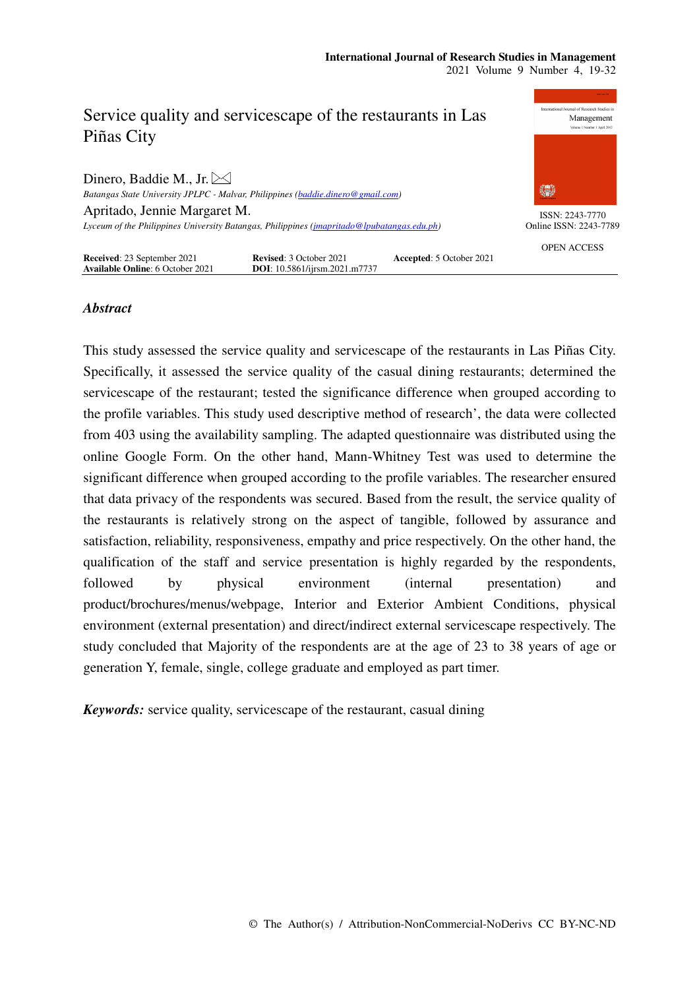

# *Abstract*

This study assessed the service quality and servicescape of the restaurants in Las Piñas City. Specifically, it assessed the service quality of the casual dining restaurants; determined the servicescape of the restaurant; tested the significance difference when grouped according to the profile variables. This study used descriptive method of research', the data were collected from 403 using the availability sampling. The adapted questionnaire was distributed using the online Google Form. On the other hand, Mann-Whitney Test was used to determine the significant difference when grouped according to the profile variables. The researcher ensured that data privacy of the respondents was secured. Based from the result, the service quality of the restaurants is relatively strong on the aspect of tangible, followed by assurance and satisfaction, reliability, responsiveness, empathy and price respectively. On the other hand, the qualification of the staff and service presentation is highly regarded by the respondents, followed by physical environment (internal presentation) and product/brochures/menus/webpage, Interior and Exterior Ambient Conditions, physical environment (external presentation) and direct/indirect external servicescape respectively. The study concluded that Majority of the respondents are at the age of 23 to 38 years of age or generation Y, female, single, college graduate and employed as part timer.

*Keywords:* service quality, servicescape of the restaurant, casual dining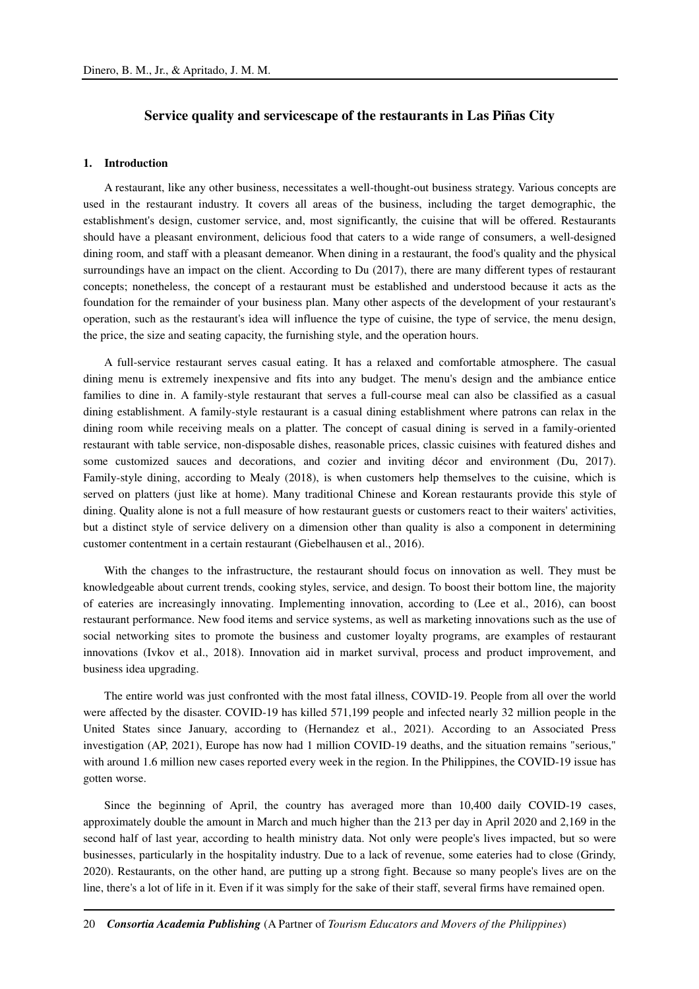## **Service quality and servicescape of the restaurants in Las Piñas City**

## **1. Introduction**

A restaurant, like any other business, necessitates a well-thought-out business strategy. Various concepts are used in the restaurant industry. It covers all areas of the business, including the target demographic, the establishment's design, customer service, and, most significantly, the cuisine that will be offered. Restaurants should have a pleasant environment, delicious food that caters to a wide range of consumers, a well-designed dining room, and staff with a pleasant demeanor. When dining in a restaurant, the food's quality and the physical surroundings have an impact on the client. According to Du (2017), there are many different types of restaurant concepts; nonetheless, the concept of a restaurant must be established and understood because it acts as the foundation for the remainder of your business plan. Many other aspects of the development of your restaurant's operation, such as the restaurant's idea will influence the type of cuisine, the type of service, the menu design, the price, the size and seating capacity, the furnishing style, and the operation hours.

A full-service restaurant serves casual eating. It has a relaxed and comfortable atmosphere. The casual dining menu is extremely inexpensive and fits into any budget. The menu's design and the ambiance entice families to dine in. A family-style restaurant that serves a full-course meal can also be classified as a casual dining establishment. A family-style restaurant is a casual dining establishment where patrons can relax in the dining room while receiving meals on a platter. The concept of casual dining is served in a family-oriented restaurant with table service, non-disposable dishes, reasonable prices, classic cuisines with featured dishes and some customized sauces and decorations, and cozier and inviting décor and environment (Du, 2017). Family-style dining, according to Mealy (2018), is when customers help themselves to the cuisine, which is served on platters (just like at home). Many traditional Chinese and Korean restaurants provide this style of dining. Quality alone is not a full measure of how restaurant guests or customers react to their waiters' activities, but a distinct style of service delivery on a dimension other than quality is also a component in determining customer contentment in a certain restaurant (Giebelhausen et al., 2016).

With the changes to the infrastructure, the restaurant should focus on innovation as well. They must be knowledgeable about current trends, cooking styles, service, and design. To boost their bottom line, the majority of eateries are increasingly innovating. Implementing innovation, according to (Lee et al., 2016), can boost restaurant performance. New food items and service systems, as well as marketing innovations such as the use of social networking sites to promote the business and customer loyalty programs, are examples of restaurant innovations (Ivkov et al., 2018). Innovation aid in market survival, process and product improvement, and business idea upgrading.

The entire world was just confronted with the most fatal illness, COVID-19. People from all over the world were affected by the disaster. COVID-19 has killed 571,199 people and infected nearly 32 million people in the United States since January, according to (Hernandez et al., 2021). According to an Associated Press investigation (AP, 2021), Europe has now had 1 million COVID-19 deaths, and the situation remains "serious," with around 1.6 million new cases reported every week in the region. In the Philippines, the COVID-19 issue has gotten worse.

Since the beginning of April, the country has averaged more than 10,400 daily COVID-19 cases, approximately double the amount in March and much higher than the 213 per day in April 2020 and 2,169 in the second half of last year, according to health ministry data. Not only were people's lives impacted, but so were businesses, particularly in the hospitality industry. Due to a lack of revenue, some eateries had to close (Grindy, 2020). Restaurants, on the other hand, are putting up a strong fight. Because so many people's lives are on the line, there's a lot of life in it. Even if it was simply for the sake of their staff, several firms have remained open.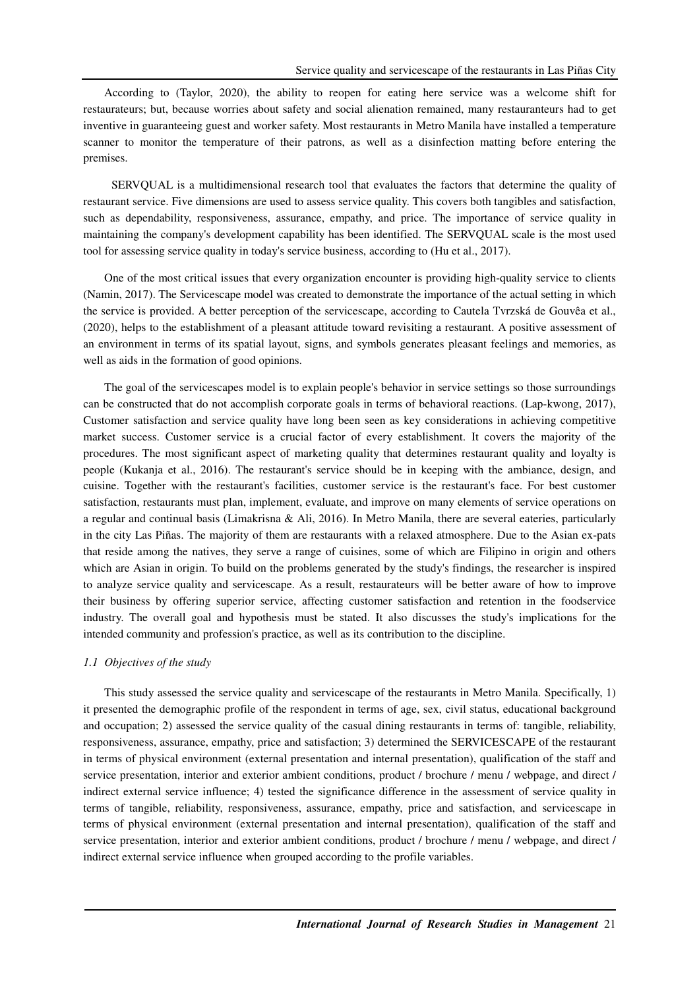According to (Taylor, 2020), the ability to reopen for eating here service was a welcome shift for restaurateurs; but, because worries about safety and social alienation remained, many restauranteurs had to get inventive in guaranteeing guest and worker safety. Most restaurants in Metro Manila have installed a temperature scanner to monitor the temperature of their patrons, as well as a disinfection matting before entering the premises.

SERVQUAL is a multidimensional research tool that evaluates the factors that determine the quality of restaurant service. Five dimensions are used to assess service quality. This covers both tangibles and satisfaction, such as dependability, responsiveness, assurance, empathy, and price. The importance of service quality in maintaining the company's development capability has been identified. The SERVQUAL scale is the most used tool for assessing service quality in today's service business, according to (Hu et al., 2017).

One of the most critical issues that every organization encounter is providing high-quality service to clients (Namin, 2017). The Servicescape model was created to demonstrate the importance of the actual setting in which the service is provided. A better perception of the servicescape, according to Cautela Tvrzská de Gouvêa et al., (2020), helps to the establishment of a pleasant attitude toward revisiting a restaurant. A positive assessment of an environment in terms of its spatial layout, signs, and symbols generates pleasant feelings and memories, as well as aids in the formation of good opinions.

The goal of the servicescapes model is to explain people's behavior in service settings so those surroundings can be constructed that do not accomplish corporate goals in terms of behavioral reactions. (Lap-kwong, 2017), Customer satisfaction and service quality have long been seen as key considerations in achieving competitive market success. Customer service is a crucial factor of every establishment. It covers the majority of the procedures. The most significant aspect of marketing quality that determines restaurant quality and loyalty is people (Kukanja et al., 2016). The restaurant's service should be in keeping with the ambiance, design, and cuisine. Together with the restaurant's facilities, customer service is the restaurant's face. For best customer satisfaction, restaurants must plan, implement, evaluate, and improve on many elements of service operations on a regular and continual basis (Limakrisna & Ali, 2016). In Metro Manila, there are several eateries, particularly in the city Las Piñas. The majority of them are restaurants with a relaxed atmosphere. Due to the Asian ex-pats that reside among the natives, they serve a range of cuisines, some of which are Filipino in origin and others which are Asian in origin. To build on the problems generated by the study's findings, the researcher is inspired to analyze service quality and servicescape. As a result, restaurateurs will be better aware of how to improve their business by offering superior service, affecting customer satisfaction and retention in the foodservice industry. The overall goal and hypothesis must be stated. It also discusses the study's implications for the intended community and profession's practice, as well as its contribution to the discipline.

### *1.1 Objectives of the study*

This study assessed the service quality and servicescape of the restaurants in Metro Manila. Specifically, 1) it presented the demographic profile of the respondent in terms of age, sex, civil status, educational background and occupation; 2) assessed the service quality of the casual dining restaurants in terms of: tangible, reliability, responsiveness, assurance, empathy, price and satisfaction; 3) determined the SERVICESCAPE of the restaurant in terms of physical environment (external presentation and internal presentation), qualification of the staff and service presentation, interior and exterior ambient conditions, product / brochure / menu / webpage, and direct / indirect external service influence; 4) tested the significance difference in the assessment of service quality in terms of tangible, reliability, responsiveness, assurance, empathy, price and satisfaction, and servicescape in terms of physical environment (external presentation and internal presentation), qualification of the staff and service presentation, interior and exterior ambient conditions, product / brochure / menu / webpage, and direct / indirect external service influence when grouped according to the profile variables.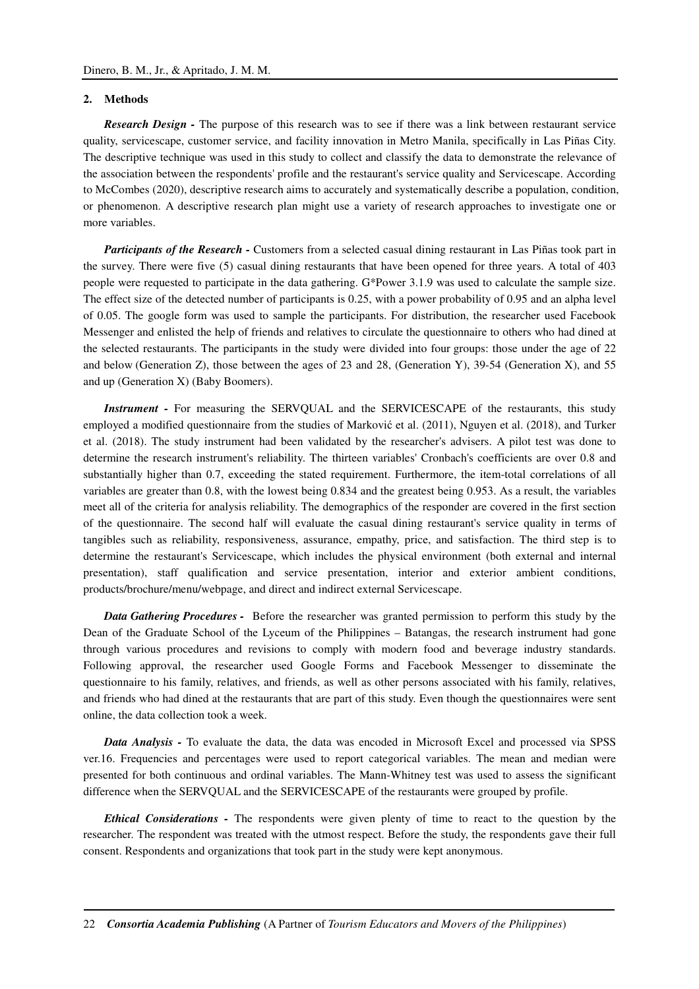## **2. Methods**

*Research Design -* The purpose of this research was to see if there was a link between restaurant service quality, servicescape, customer service, and facility innovation in Metro Manila, specifically in Las Piñas City. The descriptive technique was used in this study to collect and classify the data to demonstrate the relevance of the association between the respondents' profile and the restaurant's service quality and Servicescape. According to McCombes (2020), descriptive research aims to accurately and systematically describe a population, condition, or phenomenon. A descriptive research plan might use a variety of research approaches to investigate one or more variables.

*Participants of the Research -* Customers from a selected casual dining restaurant in Las Piñas took part in the survey. There were five (5) casual dining restaurants that have been opened for three years. A total of 403 people were requested to participate in the data gathering. G\*Power 3.1.9 was used to calculate the sample size. The effect size of the detected number of participants is 0.25, with a power probability of 0.95 and an alpha level of 0.05. The google form was used to sample the participants. For distribution, the researcher used Facebook Messenger and enlisted the help of friends and relatives to circulate the questionnaire to others who had dined at the selected restaurants. The participants in the study were divided into four groups: those under the age of 22 and below (Generation Z), those between the ages of 23 and 28, (Generation Y), 39-54 (Generation X), and 55 and up (Generation X) (Baby Boomers).

*Instrument -* For measuring the SERVOUAL and the SERVICESCAPE of the restaurants, this study employed a modified questionnaire from the studies of Marković et al. (2011), Nguyen et al. (2018), and Turker et al. (2018). The study instrument had been validated by the researcher's advisers. A pilot test was done to determine the research instrument's reliability. The thirteen variables' Cronbach's coefficients are over 0.8 and substantially higher than 0.7, exceeding the stated requirement. Furthermore, the item-total correlations of all variables are greater than 0.8, with the lowest being 0.834 and the greatest being 0.953. As a result, the variables meet all of the criteria for analysis reliability. The demographics of the responder are covered in the first section of the questionnaire. The second half will evaluate the casual dining restaurant's service quality in terms of tangibles such as reliability, responsiveness, assurance, empathy, price, and satisfaction. The third step is to determine the restaurant's Servicescape, which includes the physical environment (both external and internal presentation), staff qualification and service presentation, interior and exterior ambient conditions, products/brochure/menu/webpage, and direct and indirect external Servicescape.

*Data Gathering Procedures -* Before the researcher was granted permission to perform this study by the Dean of the Graduate School of the Lyceum of the Philippines – Batangas, the research instrument had gone through various procedures and revisions to comply with modern food and beverage industry standards. Following approval, the researcher used Google Forms and Facebook Messenger to disseminate the questionnaire to his family, relatives, and friends, as well as other persons associated with his family, relatives, and friends who had dined at the restaurants that are part of this study. Even though the questionnaires were sent online, the data collection took a week.

*Data Analysis -* To evaluate the data, the data was encoded in Microsoft Excel and processed via SPSS ver.16. Frequencies and percentages were used to report categorical variables. The mean and median were presented for both continuous and ordinal variables. The Mann-Whitney test was used to assess the significant difference when the SERVQUAL and the SERVICESCAPE of the restaurants were grouped by profile.

*Ethical Considerations -* The respondents were given plenty of time to react to the question by the researcher. The respondent was treated with the utmost respect. Before the study, the respondents gave their full consent. Respondents and organizations that took part in the study were kept anonymous.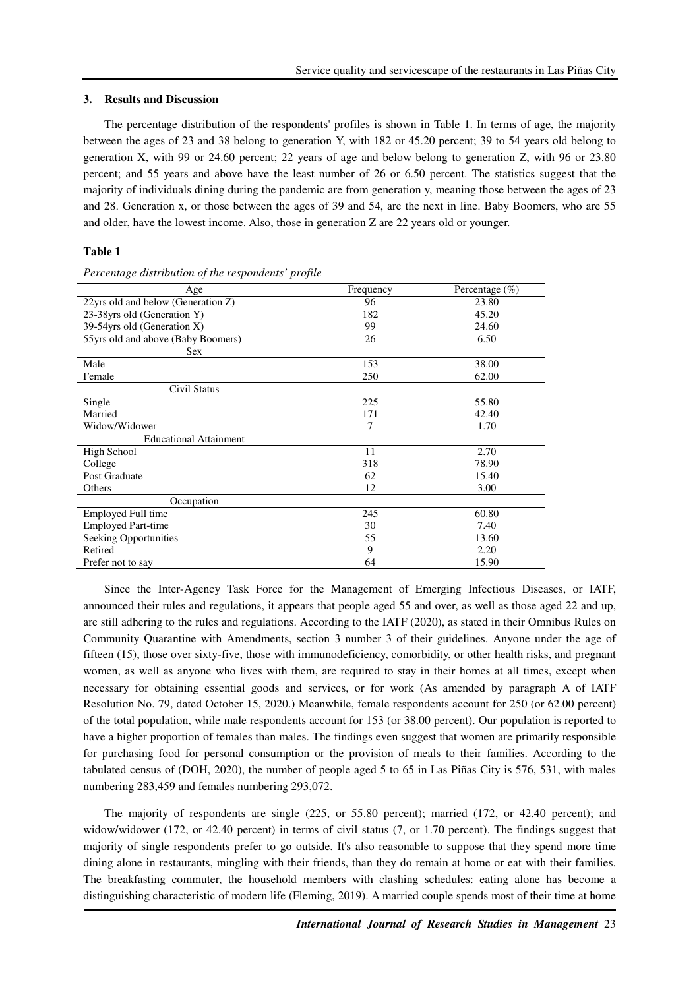#### **3. Results and Discussion**

The percentage distribution of the respondents' profiles is shown in Table 1. In terms of age, the majority between the ages of 23 and 38 belong to generation Y, with 182 or 45.20 percent; 39 to 54 years old belong to generation X, with 99 or 24.60 percent; 22 years of age and below belong to generation Z, with 96 or 23.80 percent; and 55 years and above have the least number of 26 or 6.50 percent. The statistics suggest that the majority of individuals dining during the pandemic are from generation y, meaning those between the ages of 23 and 28. Generation x, or those between the ages of 39 and 54, are the next in line. Baby Boomers, who are 55 and older, have the lowest income. Also, those in generation Z are 22 years old or younger.

## **Table 1**

| Age                                | Frequency | Percentage $(\% )$ |
|------------------------------------|-----------|--------------------|
| 22yrs old and below (Generation Z) | 96        | 23.80              |
| 23-38yrs old (Generation Y)        | 182       | 45.20              |
| 39-54 yrs old (Generation X)       | 99        | 24.60              |
| 55yrs old and above (Baby Boomers) | 26        | 6.50               |
| <b>Sex</b>                         |           |                    |
| Male                               | 153       | 38.00              |
| Female                             | 250       | 62.00              |
| Civil Status                       |           |                    |
| Single                             | 225       | 55.80              |
| Married                            | 171       | 42.40              |
| Widow/Widower                      | 7         | 1.70               |
| <b>Educational Attainment</b>      |           |                    |
| High School                        | 11        | 2.70               |
| College                            | 318       | 78.90              |
| Post Graduate                      | 62        | 15.40              |
| Others                             | 12        | 3.00               |
| Occupation                         |           |                    |
| Employed Full time                 | 245       | 60.80              |
| <b>Employed Part-time</b>          | 30        | 7.40               |
| Seeking Opportunities              | 55        | 13.60              |
| Retired                            | 9         | 2.20               |
| Prefer not to say                  | 64        | 15.90              |

*Percentage distribution of the respondents' profile*

Since the Inter-Agency Task Force for the Management of Emerging Infectious Diseases, or IATF, announced their rules and regulations, it appears that people aged 55 and over, as well as those aged 22 and up, are still adhering to the rules and regulations. According to the IATF (2020), as stated in their Omnibus Rules on Community Quarantine with Amendments, section 3 number 3 of their guidelines. Anyone under the age of fifteen (15), those over sixty-five, those with immunodeficiency, comorbidity, or other health risks, and pregnant women, as well as anyone who lives with them, are required to stay in their homes at all times, except when necessary for obtaining essential goods and services, or for work (As amended by paragraph A of IATF Resolution No. 79, dated October 15, 2020.) Meanwhile, female respondents account for 250 (or 62.00 percent) of the total population, while male respondents account for 153 (or 38.00 percent). Our population is reported to have a higher proportion of females than males. The findings even suggest that women are primarily responsible for purchasing food for personal consumption or the provision of meals to their families. According to the tabulated census of (DOH, 2020), the number of people aged 5 to 65 in Las Piñas City is 576, 531, with males numbering 283,459 and females numbering 293,072.

The majority of respondents are single (225, or 55.80 percent); married (172, or 42.40 percent); and widow/widower (172, or 42.40 percent) in terms of civil status (7, or 1.70 percent). The findings suggest that majority of single respondents prefer to go outside. It's also reasonable to suppose that they spend more time dining alone in restaurants, mingling with their friends, than they do remain at home or eat with their families. The breakfasting commuter, the household members with clashing schedules: eating alone has become a distinguishing characteristic of modern life (Fleming, 2019). A married couple spends most of their time at home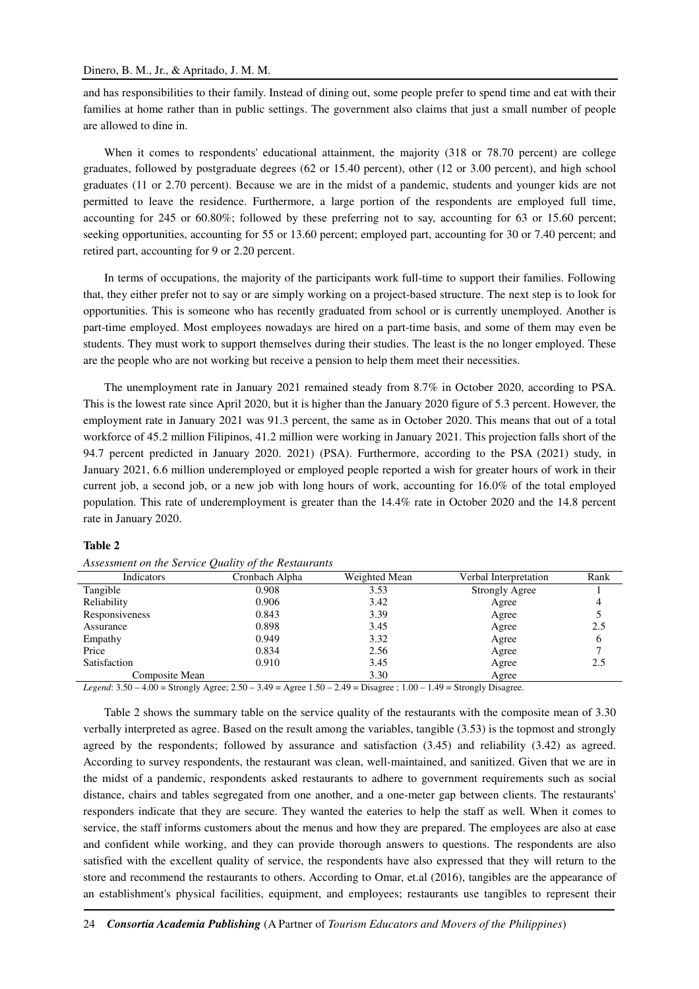and has responsibilities to their family. Instead of dining out, some people prefer to spend time and eat with their families at home rather than in public settings. The government also claims that just a small number of people are allowed to dine in.

When it comes to respondents' educational attainment, the majority (318 or 78.70 percent) are college graduates, followed by postgraduate degrees (62 or 15.40 percent), other (12 or 3.00 percent), and high school graduates (11 or 2.70 percent). Because we are in the midst of a pandemic, students and younger kids are not permitted to leave the residence. Furthermore, a large portion of the respondents are employed full time, accounting for 245 or 60.80%; followed by these preferring not to say, accounting for 63 or 15.60 percent; seeking opportunities, accounting for 55 or 13.60 percent; employed part, accounting for 30 or 7.40 percent; and retired part, accounting for 9 or 2.20 percent.

In terms of occupations, the majority of the participants work full-time to support their families. Following that, they either prefer not to say or are simply working on a project-based structure. The next step is to look for opportunities. This is someone who has recently graduated from school or is currently unemployed. Another is part-time employed. Most employees nowadays are hired on a part-time basis, and some of them may even be students. They must work to support themselves during their studies. The least is the no longer employed. These are the people who are not working but receive a pension to help them meet their necessities.

The unemployment rate in January 2021 remained steady from 8.7% in October 2020, according to PSA. This is the lowest rate since April 2020, but it is higher than the January 2020 figure of 5.3 percent. However, the employment rate in January 2021 was 91.3 percent, the same as in October 2020. This means that out of a total workforce of 45.2 million Filipinos, 41.2 million were working in January 2021. This projection falls short of the 94.7 percent predicted in January 2020. 2021) (PSA). Furthermore, according to the PSA (2021) study, in January 2021, 6.6 million underemployed or employed people reported a wish for greater hours of work in their current job, a second job, or a new job with long hours of work, accounting for 16.0% of the total employed population. This rate of underemployment is greater than the 14.4% rate in October 2020 and the 14.8 percent rate in January 2020.

#### **Table 2**

|                | ~<br>$\overline{ }$ |               |                       |      |
|----------------|---------------------|---------------|-----------------------|------|
| Indicators     | Cronbach Alpha      | Weighted Mean | Verbal Interpretation | Rank |
| Tangible       | 0.908               | 3.53          | Strongly Agree        |      |
| Reliability    | 0.906               | 3.42          | Agree                 |      |
| Responsiveness | 0.843               | 3.39          | Agree                 |      |
| Assurance      | 0.898               | 3.45          | Agree                 | 2.5  |
| Empathy        | 0.949               | 3.32          | Agree                 |      |
| Price          | 0.834               | 2.56          | Agree                 |      |
| Satisfaction   | 0.910               | 3.45          | Agree                 | 2.5  |
| Composite Mean |                     | 3.30          | Agree                 |      |

*Assessment on the Service Quality of the Restaurants* 

*Legend*: 3.50 – 4.00 = Strongly Agree; 2.50 – 3.49 = Agree 1.50 – 2.49 = Disagree ; 1.00 – 1.49 = Strongly Disagree.

Table 2 shows the summary table on the service quality of the restaurants with the composite mean of 3.30 verbally interpreted as agree. Based on the result among the variables, tangible (3.53) is the topmost and strongly agreed by the respondents; followed by assurance and satisfaction (3.45) and reliability (3.42) as agreed. According to survey respondents, the restaurant was clean, well-maintained, and sanitized. Given that we are in the midst of a pandemic, respondents asked restaurants to adhere to government requirements such as social distance, chairs and tables segregated from one another, and a one-meter gap between clients. The restaurants' responders indicate that they are secure. They wanted the eateries to help the staff as well. When it comes to service, the staff informs customers about the menus and how they are prepared. The employees are also at ease and confident while working, and they can provide thorough answers to questions. The respondents are also satisfied with the excellent quality of service, the respondents have also expressed that they will return to the store and recommend the restaurants to others. According to Omar, et.al (2016), tangibles are the appearance of an establishment's physical facilities, equipment, and employees; restaurants use tangibles to represent their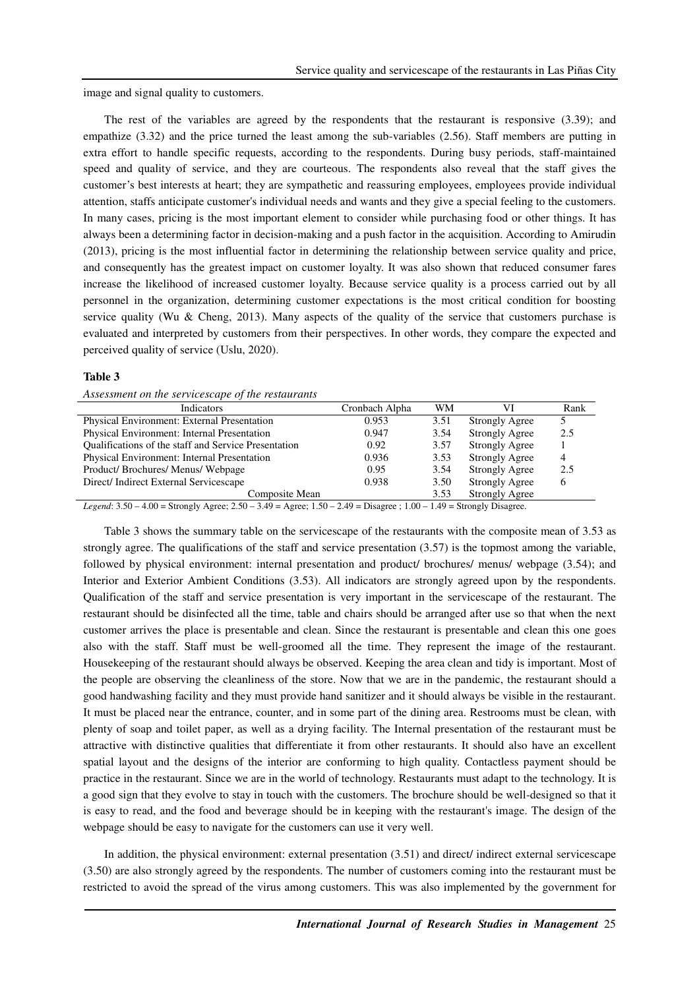image and signal quality to customers.

The rest of the variables are agreed by the respondents that the restaurant is responsive (3.39); and empathize (3.32) and the price turned the least among the sub-variables (2.56). Staff members are putting in extra effort to handle specific requests, according to the respondents. During busy periods, staff-maintained speed and quality of service, and they are courteous. The respondents also reveal that the staff gives the customer's best interests at heart; they are sympathetic and reassuring employees, employees provide individual attention, staffs anticipate customer's individual needs and wants and they give a special feeling to the customers. In many cases, pricing is the most important element to consider while purchasing food or other things. It has always been a determining factor in decision-making and a push factor in the acquisition. According to Amirudin (2013), pricing is the most influential factor in determining the relationship between service quality and price, and consequently has the greatest impact on customer loyalty. It was also shown that reduced consumer fares increase the likelihood of increased customer loyalty. Because service quality is a process carried out by all personnel in the organization, determining customer expectations is the most critical condition for boosting service quality (Wu & Cheng, 2013). Many aspects of the quality of the service that customers purchase is evaluated and interpreted by customers from their perspectives. In other words, they compare the expected and perceived quality of service (Uslu, 2020).

#### **Table 3**

|  | Assessment on the servicescape of the restaurants |  |
|--|---------------------------------------------------|--|
|  |                                                   |  |

| Indicators                                           | Cronbach Alpha | WM   | VI                    | Rank         |
|------------------------------------------------------|----------------|------|-----------------------|--------------|
| Physical Environment: External Presentation          | 0.953          | 3.51 | <b>Strongly Agree</b> |              |
| Physical Environment: Internal Presentation          | 0.947          | 3.54 | <b>Strongly Agree</b> | 2.5          |
| Qualifications of the staff and Service Presentation | 0.92           | 3.57 | <b>Strongly Agree</b> |              |
| Physical Environment: Internal Presentation          | 0.936          | 3.53 | <b>Strongly Agree</b> | 4            |
| Product/Brochures/Menus/Webpage                      | 0.95           | 3.54 | <b>Strongly Agree</b> | 2.5          |
| Direct/Indirect External Servicescape                | 0.938          | 3.50 | <b>Strongly Agree</b> | <sub>0</sub> |
| Composite Mean                                       |                | 3.53 | <b>Strongly Agree</b> |              |

*Legend*: 3.50 – 4.00 = Strongly Agree; 2.50 – 3.49 = Agree; 1.50 – 2.49 = Disagree ; 1.00 – 1.49 = Strongly Disagree.

Table 3 shows the summary table on the servicescape of the restaurants with the composite mean of 3.53 as strongly agree. The qualifications of the staff and service presentation (3.57) is the topmost among the variable, followed by physical environment: internal presentation and product/ brochures/ menus/ webpage (3.54); and Interior and Exterior Ambient Conditions (3.53). All indicators are strongly agreed upon by the respondents. Qualification of the staff and service presentation is very important in the servicescape of the restaurant. The restaurant should be disinfected all the time, table and chairs should be arranged after use so that when the next customer arrives the place is presentable and clean. Since the restaurant is presentable and clean this one goes also with the staff. Staff must be well-groomed all the time. They represent the image of the restaurant. Housekeeping of the restaurant should always be observed. Keeping the area clean and tidy is important. Most of the people are observing the cleanliness of the store. Now that we are in the pandemic, the restaurant should a good handwashing facility and they must provide hand sanitizer and it should always be visible in the restaurant. It must be placed near the entrance, counter, and in some part of the dining area. Restrooms must be clean, with plenty of soap and toilet paper, as well as a drying facility. The Internal presentation of the restaurant must be attractive with distinctive qualities that differentiate it from other restaurants. It should also have an excellent spatial layout and the designs of the interior are conforming to high quality. Contactless payment should be practice in the restaurant. Since we are in the world of technology. Restaurants must adapt to the technology. It is a good sign that they evolve to stay in touch with the customers. The brochure should be well-designed so that it is easy to read, and the food and beverage should be in keeping with the restaurant's image. The design of the webpage should be easy to navigate for the customers can use it very well.

In addition, the physical environment: external presentation (3.51) and direct/ indirect external servicescape (3.50) are also strongly agreed by the respondents. The number of customers coming into the restaurant must be restricted to avoid the spread of the virus among customers. This was also implemented by the government for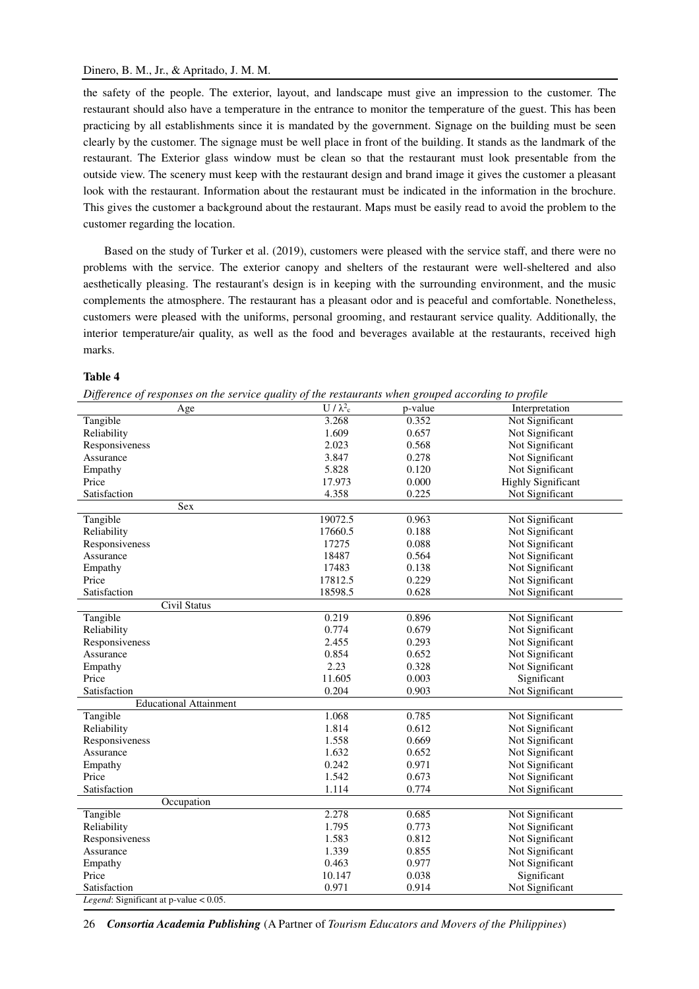the safety of the people. The exterior, layout, and landscape must give an impression to the customer. The restaurant should also have a temperature in the entrance to monitor the temperature of the guest. This has been practicing by all establishments since it is mandated by the government. Signage on the building must be seen clearly by the customer. The signage must be well place in front of the building. It stands as the landmark of the restaurant. The Exterior glass window must be clean so that the restaurant must look presentable from the outside view. The scenery must keep with the restaurant design and brand image it gives the customer a pleasant look with the restaurant. Information about the restaurant must be indicated in the information in the brochure. This gives the customer a background about the restaurant. Maps must be easily read to avoid the problem to the customer regarding the location.

Based on the study of Turker et al. (2019), customers were pleased with the service staff, and there were no problems with the service. The exterior canopy and shelters of the restaurant were well-sheltered and also aesthetically pleasing. The restaurant's design is in keeping with the surrounding environment, and the music complements the atmosphere. The restaurant has a pleasant odor and is peaceful and comfortable. Nonetheless, customers were pleased with the uniforms, personal grooming, and restaurant service quality. Additionally, the interior temperature/air quality, as well as the food and beverages available at the restaurants, received high marks.

### **Table 4**

|  |  | Difference of responses on the service quality of the restaurants when grouped according to profile |  |  |
|--|--|-----------------------------------------------------------------------------------------------------|--|--|

| Difference of responses on the service quality of the restaurants when grouped according to profite<br>Age | $U/\lambda^2$ c | p-value | Interpretation            |
|------------------------------------------------------------------------------------------------------------|-----------------|---------|---------------------------|
| Tangible                                                                                                   | 3.268           | 0.352   | Not Significant           |
| Reliability                                                                                                | 1.609           | 0.657   | Not Significant           |
| Responsiveness                                                                                             | 2.023           | 0.568   | Not Significant           |
| Assurance                                                                                                  | 3.847           | 0.278   | Not Significant           |
| Empathy                                                                                                    | 5.828           | 0.120   | Not Significant           |
| Price                                                                                                      | 17.973          | 0.000   | <b>Highly Significant</b> |
| Satisfaction                                                                                               | 4.358           | 0.225   | Not Significant           |
| Sex                                                                                                        |                 |         |                           |
| Tangible                                                                                                   | 19072.5         | 0.963   | Not Significant           |
| Reliability                                                                                                | 17660.5         | 0.188   | Not Significant           |
| Responsiveness                                                                                             | 17275           | 0.088   | Not Significant           |
| Assurance                                                                                                  | 18487           | 0.564   | Not Significant           |
| Empathy                                                                                                    | 17483           | 0.138   | Not Significant           |
| Price                                                                                                      | 17812.5         | 0.229   | Not Significant           |
| Satisfaction                                                                                               | 18598.5         | 0.628   | Not Significant           |
| <b>Civil Status</b>                                                                                        |                 |         |                           |
| Tangible                                                                                                   | 0.219           | 0.896   | Not Significant           |
| Reliability                                                                                                | 0.774           | 0.679   | Not Significant           |
| Responsiveness                                                                                             | 2.455           | 0.293   | Not Significant           |
| Assurance                                                                                                  | 0.854           | 0.652   | Not Significant           |
| Empathy                                                                                                    | 2.23            | 0.328   | Not Significant           |
| Price                                                                                                      | 11.605          | 0.003   | Significant               |
| Satisfaction                                                                                               | 0.204           | 0.903   | Not Significant           |
| <b>Educational Attainment</b>                                                                              |                 |         |                           |
| Tangible                                                                                                   | 1.068           | 0.785   | Not Significant           |
| Reliability                                                                                                | 1.814           | 0.612   | Not Significant           |
| Responsiveness                                                                                             | 1.558           | 0.669   | Not Significant           |
| Assurance                                                                                                  | 1.632           | 0.652   | Not Significant           |
| Empathy                                                                                                    | 0.242           | 0.971   | Not Significant           |
| Price                                                                                                      | 1.542           | 0.673   | Not Significant           |
| Satisfaction                                                                                               | 1.114           | 0.774   | Not Significant           |
| Occupation                                                                                                 |                 |         |                           |
| Tangible                                                                                                   | 2.278           | 0.685   | Not Significant           |
| Reliability                                                                                                | 1.795           | 0.773   | Not Significant           |
| Responsiveness                                                                                             | 1.583           | 0.812   | Not Significant           |
| Assurance                                                                                                  | 1.339           | 0.855   | Not Significant           |
| Empathy                                                                                                    | 0.463           | 0.977   | Not Significant           |
| Price                                                                                                      | 10.147          | 0.038   | Significant               |
| Satisfaction                                                                                               | 0.971           | 0.914   | Not Significant           |
| Legend: Significant at p-value < 0.05.                                                                     |                 |         |                           |

26 *Consortia Academia Publishing* (A Partner of *Tourism Educators and Movers of the Philippines*)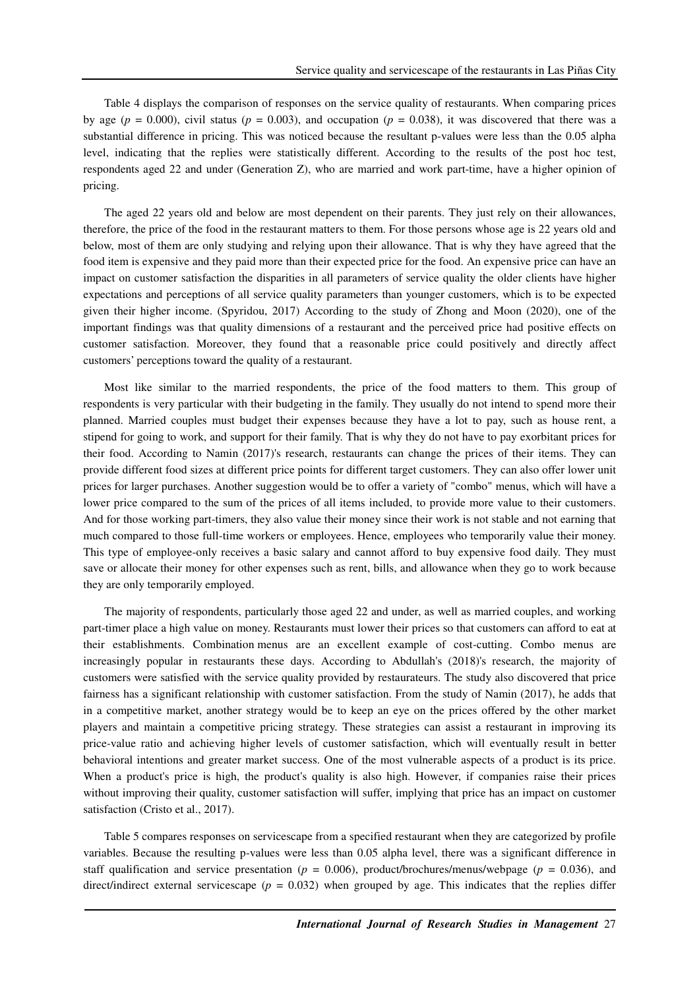Table 4 displays the comparison of responses on the service quality of restaurants. When comparing prices by age ( $p = 0.000$ ), civil status ( $p = 0.003$ ), and occupation ( $p = 0.038$ ), it was discovered that there was a substantial difference in pricing. This was noticed because the resultant p-values were less than the 0.05 alpha level, indicating that the replies were statistically different. According to the results of the post hoc test, respondents aged 22 and under (Generation Z), who are married and work part-time, have a higher opinion of pricing.

The aged 22 years old and below are most dependent on their parents. They just rely on their allowances, therefore, the price of the food in the restaurant matters to them. For those persons whose age is 22 years old and below, most of them are only studying and relying upon their allowance. That is why they have agreed that the food item is expensive and they paid more than their expected price for the food. An expensive price can have an impact on customer satisfaction the disparities in all parameters of service quality the older clients have higher expectations and perceptions of all service quality parameters than younger customers, which is to be expected given their higher income. (Spyridou, 2017) According to the study of Zhong and Moon (2020), one of the important findings was that quality dimensions of a restaurant and the perceived price had positive effects on customer satisfaction. Moreover, they found that a reasonable price could positively and directly affect customers' perceptions toward the quality of a restaurant.

Most like similar to the married respondents, the price of the food matters to them. This group of respondents is very particular with their budgeting in the family. They usually do not intend to spend more their planned. Married couples must budget their expenses because they have a lot to pay, such as house rent, a stipend for going to work, and support for their family. That is why they do not have to pay exorbitant prices for their food. According to Namin (2017)'s research, restaurants can change the prices of their items. They can provide different food sizes at different price points for different target customers. They can also offer lower unit prices for larger purchases. Another suggestion would be to offer a variety of "combo" menus, which will have a lower price compared to the sum of the prices of all items included, to provide more value to their customers. And for those working part-timers, they also value their money since their work is not stable and not earning that much compared to those full-time workers or employees. Hence, employees who temporarily value their money. This type of employee-only receives a basic salary and cannot afford to buy expensive food daily. They must save or allocate their money for other expenses such as rent, bills, and allowance when they go to work because they are only temporarily employed.

The majority of respondents, particularly those aged 22 and under, as well as married couples, and working part-timer place a high value on money. Restaurants must lower their prices so that customers can afford to eat at their establishments. Combination menus are an excellent example of cost-cutting. Combo menus are increasingly popular in restaurants these days. According to Abdullah's (2018)'s research, the majority of customers were satisfied with the service quality provided by restaurateurs. The study also discovered that price fairness has a significant relationship with customer satisfaction. From the study of Namin (2017), he adds that in a competitive market, another strategy would be to keep an eye on the prices offered by the other market players and maintain a competitive pricing strategy. These strategies can assist a restaurant in improving its price-value ratio and achieving higher levels of customer satisfaction, which will eventually result in better behavioral intentions and greater market success. One of the most vulnerable aspects of a product is its price. When a product's price is high, the product's quality is also high. However, if companies raise their prices without improving their quality, customer satisfaction will suffer, implying that price has an impact on customer satisfaction (Cristo et al., 2017).

Table 5 compares responses on servicescape from a specified restaurant when they are categorized by profile variables. Because the resulting p-values were less than 0.05 alpha level, there was a significant difference in staff qualification and service presentation (*p* = 0.006), product/brochures/menus/webpage (*p* = 0.036), and direct/indirect external servicescape ( $p = 0.032$ ) when grouped by age. This indicates that the replies differ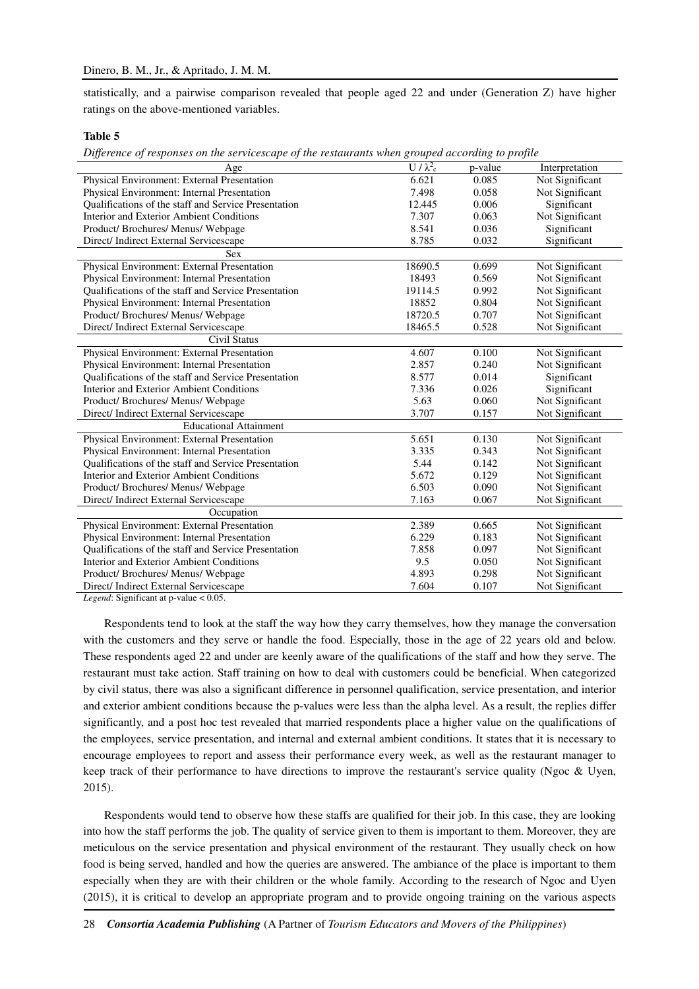statistically, and a pairwise comparison revealed that people aged 22 and under (Generation Z) have higher ratings on the above-mentioned variables.

## **Table 5**

*Difference of responses on the servicescape of the restaurants when grouped according to profile* 

| Age                                                  | $U/\lambda_c^2$ | p-value | Interpretation  |
|------------------------------------------------------|-----------------|---------|-----------------|
| Physical Environment: External Presentation          | 6.621           | 0.085   | Not Significant |
| Physical Environment: Internal Presentation          | 7.498           | 0.058   | Not Significant |
| Qualifications of the staff and Service Presentation | 12.445          | 0.006   | Significant     |
| Interior and Exterior Ambient Conditions             | 7.307           | 0.063   | Not Significant |
| Product/ Brochures/ Menus/ Webpage                   | 8.541           | 0.036   | Significant     |
| Direct/Indirect External Servicescape                | 8.785           | 0.032   | Significant     |
| <b>Sex</b>                                           |                 |         |                 |
| Physical Environment: External Presentation          | 18690.5         | 0.699   | Not Significant |
| Physical Environment: Internal Presentation          | 18493           | 0.569   | Not Significant |
| Qualifications of the staff and Service Presentation | 19114.5         | 0.992   | Not Significant |
| Physical Environment: Internal Presentation          | 18852           | 0.804   | Not Significant |
| Product/ Brochures/ Menus/ Webpage                   | 18720.5         | 0.707   | Not Significant |
| Direct/Indirect External Servicescape                | 18465.5         | 0.528   | Not Significant |
| Civil Status                                         |                 |         |                 |
| Physical Environment: External Presentation          | 4.607           | 0.100   | Not Significant |
| Physical Environment: Internal Presentation          | 2.857           | 0.240   | Not Significant |
| Qualifications of the staff and Service Presentation | 8.577           | 0.014   | Significant     |
| Interior and Exterior Ambient Conditions             | 7.336           | 0.026   | Significant     |
| Product/ Brochures/ Menus/ Webpage                   | 5.63            | 0.060   | Not Significant |
| Direct/Indirect External Servicescape                | 3.707           | 0.157   | Not Significant |
| <b>Educational Attainment</b>                        |                 |         |                 |
| Physical Environment: External Presentation          | 5.651           | 0.130   | Not Significant |
| Physical Environment: Internal Presentation          | 3.335           | 0.343   | Not Significant |
| Qualifications of the staff and Service Presentation | 5.44            | 0.142   | Not Significant |
| Interior and Exterior Ambient Conditions             | 5.672           | 0.129   | Not Significant |
| Product/ Brochures/ Menus/ Webpage                   | 6.503           | 0.090   | Not Significant |
| Direct/Indirect External Servicescape                | 7.163           | 0.067   | Not Significant |
| Occupation                                           |                 |         |                 |
| Physical Environment: External Presentation          | 2.389           | 0.665   | Not Significant |
| Physical Environment: Internal Presentation          | 6.229           | 0.183   | Not Significant |
| Qualifications of the staff and Service Presentation | 7.858           | 0.097   | Not Significant |
| Interior and Exterior Ambient Conditions             | 9.5             | 0.050   | Not Significant |
| Product/ Brochures/ Menus/ Webpage                   | 4.893           | 0.298   | Not Significant |
| Direct/Indirect External Servicescape                | 7.604           | 0.107   | Not Significant |

*Legend*: Significant at p-value < 0.05.

Respondents tend to look at the staff the way how they carry themselves, how they manage the conversation with the customers and they serve or handle the food. Especially, those in the age of 22 years old and below. These respondents aged 22 and under are keenly aware of the qualifications of the staff and how they serve. The restaurant must take action. Staff training on how to deal with customers could be beneficial. When categorized by civil status, there was also a significant difference in personnel qualification, service presentation, and interior and exterior ambient conditions because the p-values were less than the alpha level. As a result, the replies differ significantly, and a post hoc test revealed that married respondents place a higher value on the qualifications of the employees, service presentation, and internal and external ambient conditions. It states that it is necessary to encourage employees to report and assess their performance every week, as well as the restaurant manager to keep track of their performance to have directions to improve the restaurant's service quality (Ngoc & Uyen, 2015).

Respondents would tend to observe how these staffs are qualified for their job. In this case, they are looking into how the staff performs the job. The quality of service given to them is important to them. Moreover, they are meticulous on the service presentation and physical environment of the restaurant. They usually check on how food is being served, handled and how the queries are answered. The ambiance of the place is important to them especially when they are with their children or the whole family. According to the research of Ngoc and Uyen (2015), it is critical to develop an appropriate program and to provide ongoing training on the various aspects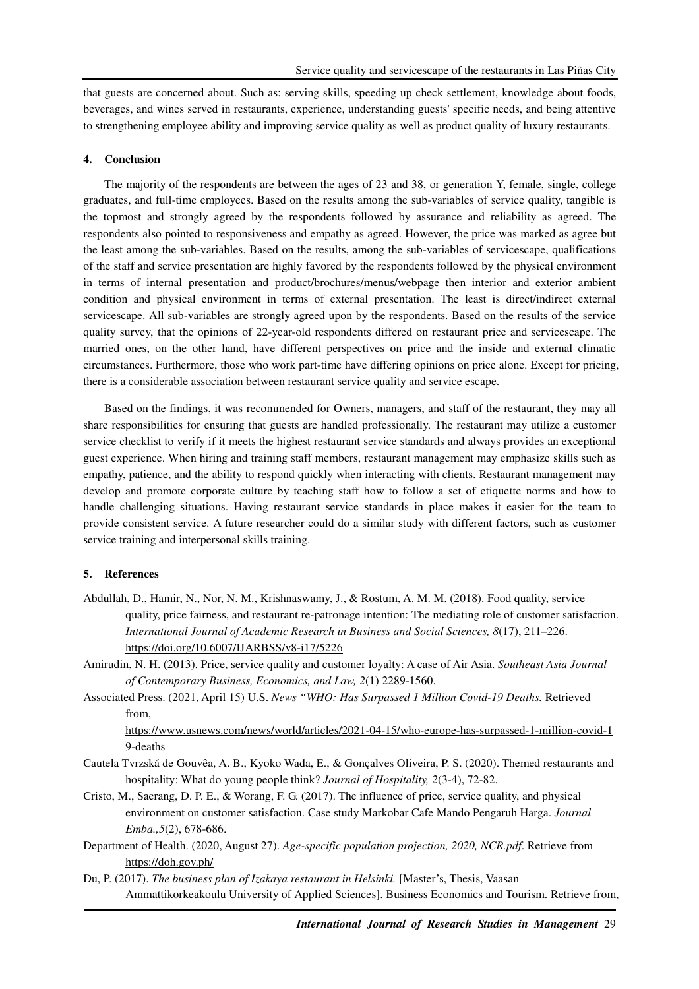that guests are concerned about. Such as: serving skills, speeding up check settlement, knowledge about foods, beverages, and wines served in restaurants, experience, understanding guests' specific needs, and being attentive to strengthening employee ability and improving service quality as well as product quality of luxury restaurants.

## **4. Conclusion**

The majority of the respondents are between the ages of 23 and 38, or generation Y, female, single, college graduates, and full-time employees. Based on the results among the sub-variables of service quality, tangible is the topmost and strongly agreed by the respondents followed by assurance and reliability as agreed. The respondents also pointed to responsiveness and empathy as agreed. However, the price was marked as agree but the least among the sub-variables. Based on the results, among the sub-variables of servicescape, qualifications of the staff and service presentation are highly favored by the respondents followed by the physical environment in terms of internal presentation and product/brochures/menus/webpage then interior and exterior ambient condition and physical environment in terms of external presentation. The least is direct/indirect external servicescape. All sub-variables are strongly agreed upon by the respondents. Based on the results of the service quality survey, that the opinions of 22-year-old respondents differed on restaurant price and servicescape. The married ones, on the other hand, have different perspectives on price and the inside and external climatic circumstances. Furthermore, those who work part-time have differing opinions on price alone. Except for pricing, there is a considerable association between restaurant service quality and service escape.

Based on the findings, it was recommended for Owners, managers, and staff of the restaurant, they may all share responsibilities for ensuring that guests are handled professionally. The restaurant may utilize a customer service checklist to verify if it meets the highest restaurant service standards and always provides an exceptional guest experience. When hiring and training staff members, restaurant management may emphasize skills such as empathy, patience, and the ability to respond quickly when interacting with clients. Restaurant management may develop and promote corporate culture by teaching staff how to follow a set of etiquette norms and how to handle challenging situations. Having restaurant service standards in place makes it easier for the team to provide consistent service. A future researcher could do a similar study with different factors, such as customer service training and interpersonal skills training.

## **5. References**

- Abdullah, D., Hamir, N., Nor, N. M., Krishnaswamy, J., & Rostum, A. M. M. (2018). Food quality, service quality, price fairness, and restaurant re-patronage intention: The mediating role of customer satisfaction. *International Journal of Academic Research in Business and Social Sciences, 8*(17), 211–226. https://doi.org/10.6007/IJARBSS/v8-i17/5226
- Amirudin, N. H. (2013). Price, service quality and customer loyalty: A case of Air Asia. *Southeast Asia Journal of Contemporary Business, Economics, and Law, 2*(1) 2289-1560.
- Associated Press. (2021, April 15) U.S. *News "WHO: Has Surpassed 1 Million Covid-19 Deaths.* Retrieved from,

https://www.usnews.com/news/world/articles/2021-04-15/who-europe-has-surpassed-1-million-covid-1 9-deaths

- Cautela Tvrzská de Gouvêa, A. B., Kyoko Wada, E., & Gonçalves Oliveira, P. S. (2020). Themed restaurants and hospitality: What do young people think? *Journal of Hospitality, 2*(3-4), 72-82.
- Cristo, M., Saerang, D. P. E., & Worang, F. G. (2017). The influence of price, service quality, and physical environment on customer satisfaction. Case study Markobar Cafe Mando Pengaruh Harga. *Journal Emba.,5*(2), 678-686.
- Department of Health. (2020, August 27). *Age-specific population projection, 2020, NCR.pdf*. Retrieve from https://doh.gov.ph/
- Du, P. (2017). *The business plan of Izakaya restaurant in Helsinki*. [Master's, Thesis, Vaasan Ammattikorkeakoulu University of Applied Sciences]. Business Economics and Tourism. Retrieve from,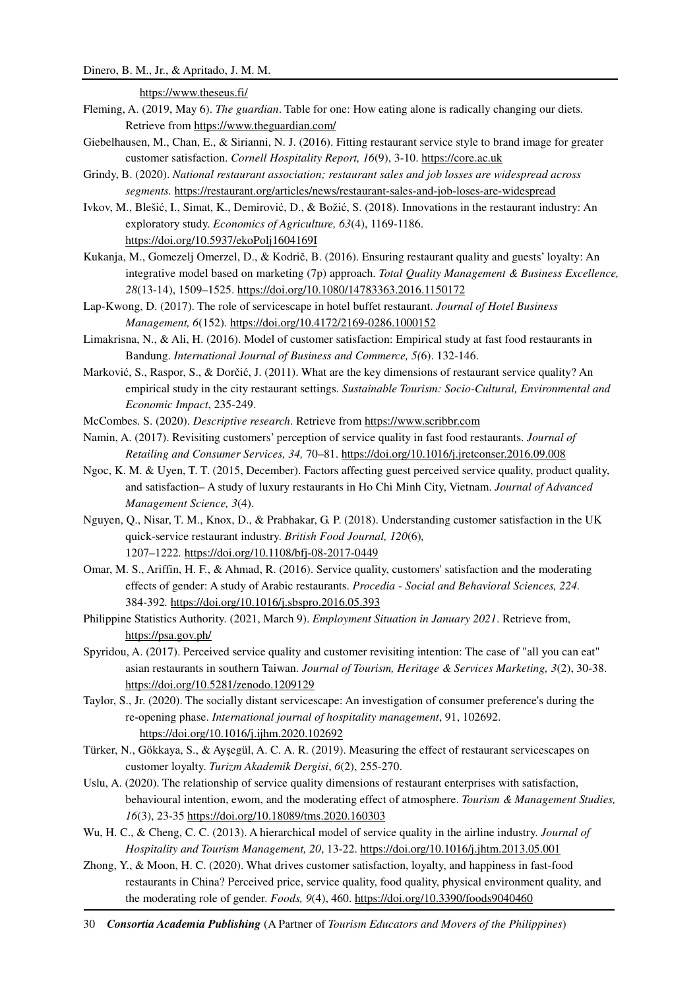https://www.theseus.fi/

- Fleming, A. (2019, May 6). *The guardian*. Table for one: How eating alone is radically changing our diets. Retrieve from https://www.theguardian.com/
- Giebelhausen, M., Chan, E., & Sirianni, N. J. (2016). Fitting restaurant service style to brand image for greater customer satisfaction. *Cornell Hospitality Report, 16*(9), 3-10. https://core.ac.uk
- Grindy, B. (2020). *National restaurant association; restaurant sales and job losses are widespread across segments.* https://restaurant.org/articles/news/restaurant-sales-and-job-loses-are-widespread
- Ivkov, M., Blešić, I., Simat, K., Demirović, D., & Božić, S. (2018). Innovations in the restaurant industry: An exploratory study. *Economics of Agriculture, 63*(4), 1169-1186. https://doi.org/10.5937/ekoPolj1604169I
- Kukanja, M., Gomezelj Omerzel, D., & Kodrič, B. (2016). Ensuring restaurant quality and guests' loyalty: An integrative model based on marketing (7p) approach. *Total Quality Management & Business Excellence, 28*(13-14), 1509–1525. https://doi.org/10.1080/14783363.2016.1150172
- Lap-Kwong, D. (2017). The role of servicescape in hotel buffet restaurant. *Journal of Hotel Business Management, 6*(152). https://doi.org/10.4172/2169-0286.1000152
- Limakrisna, N., & Ali, H. (2016). Model of customer satisfaction: Empirical study at fast food restaurants in Bandung. *International Journal of Business and Commerce, 5(*6). 132-146.
- Marković, S., Raspor, S., & Dorčić, J. (2011). What are the key dimensions of restaurant service quality? An empirical study in the city restaurant settings. *Sustainable Tourism: Socio-Cultural, Environmental and Economic Impact*, 235-249.

McCombes. S. (2020). *Descriptive research*. Retrieve from https://www.scribbr.com

- Namin, A. (2017). Revisiting customers' perception of service quality in fast food restaurants. *Journal of Retailing and Consumer Services, 34,* 70–81. https://doi.org/10.1016/j.jretconser.2016.09.008
- Ngoc, K. M. & Uyen, T. T. (2015, December). Factors affecting guest perceived service quality, product quality, and satisfaction– A study of luxury restaurants in Ho Chi Minh City, Vietnam. *Journal of Advanced Management Science, 3*(4).
- Nguyen, Q., Nisar, T. M., Knox, D., & Prabhakar, G. P. (2018). Understanding customer satisfaction in the UK quick-service restaurant industry. *British Food Journal, 120*(6)*,*  1207–1222*.* https://doi.org/10.1108/bfj-08-2017-0449
- Omar, M. S., Ariffin, H. F., & Ahmad, R. (2016). Service quality, customers' satisfaction and the moderating effects of gender: A study of Arabic restaurants. *Procedia - Social and Behavioral Sciences, 224.*  384-392*.* https://doi.org/10.1016/j.sbspro.2016.05.393
- Philippine Statistics Authority. (2021, March 9). *Employment Situation in January 2021*. Retrieve from, https://psa.gov.ph/
- Spyridou, A. (2017). Perceived service quality and customer revisiting intention: The case of "all you can eat" asian restaurants in southern Taiwan. *Journal of Tourism, Heritage & Services Marketing, 3*(2), 30-38. https://doi.org/10.5281/zenodo.1209129
- Taylor, S., Jr. (2020). The socially distant servicescape: An investigation of consumer preference's during the re-opening phase. *International journal of hospitality management*, 91, 102692. https://doi.org/10.1016/j.ijhm.2020.102692
- Türker, N., Gökkaya, S., & Ayşegül, A. C. A. R. (2019). Measuring the effect of restaurant servicescapes on customer loyalty. *Turizm Akademik Dergisi*, *6*(2), 255-270.
- Uslu, A. (2020). The relationship of service quality dimensions of restaurant enterprises with satisfaction, behavioural intention, ewom, and the moderating effect of atmosphere. *Tourism & Management Studies, 16*(3), 23-35 https://doi.org/10.18089/tms.2020.160303
- Wu, H. C., & Cheng, C. C. (2013). A hierarchical model of service quality in the airline industry. *Journal of Hospitality and Tourism Management, 20*, 13-22. https://doi.org/10.1016/j.jhtm.2013.05.001
- Zhong, Y., & Moon, H. C. (2020). What drives customer satisfaction, loyalty, and happiness in fast-food restaurants in China? Perceived price, service quality, food quality, physical environment quality, and the moderating role of gender. *Foods, 9*(4), 460. https://doi.org/10.3390/foods9040460
- 30 *Consortia Academia Publishing* (A Partner of *Tourism Educators and Movers of the Philippines*)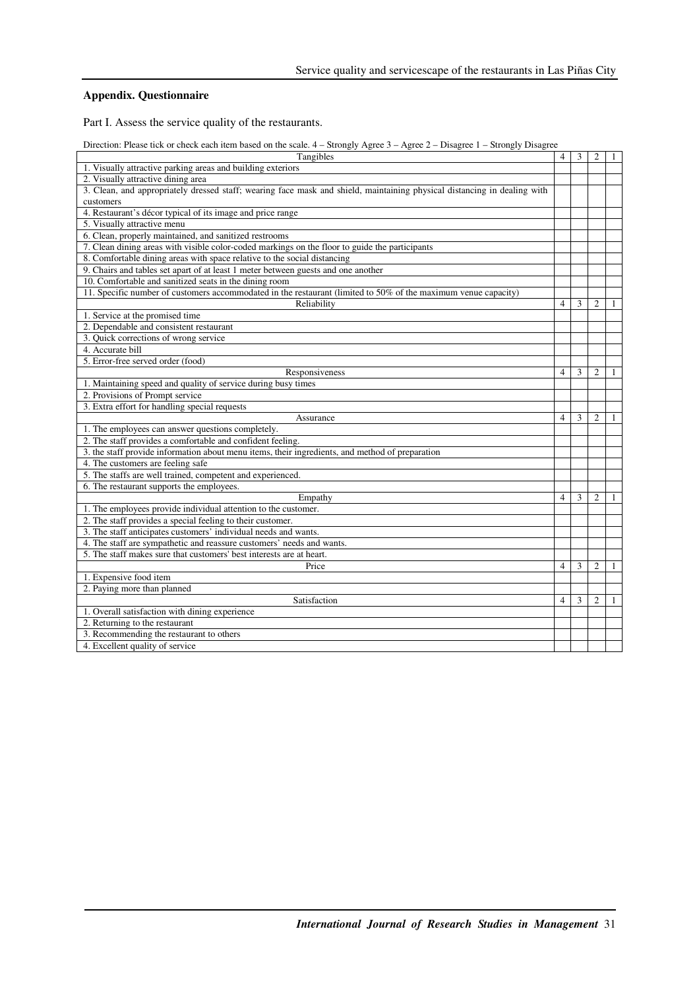## **Appendix. Questionnaire**

Part I. Assess the service quality of the restaurants.

Direction: Please tick or check each item based on the scale. 4 – Strongly Agree 3 – Agree 2 – Disagree 1 – Strongly Disagree

| Tangibles                                                                                                                | $\overline{4}$           | 3 | $\overline{c}$ | 1 |
|--------------------------------------------------------------------------------------------------------------------------|--------------------------|---|----------------|---|
| 1. Visually attractive parking areas and building exteriors                                                              |                          |   |                |   |
| 2. Visually attractive dining area                                                                                       |                          |   |                |   |
| 3. Clean, and appropriately dressed staff; wearing face mask and shield, maintaining physical distancing in dealing with |                          |   |                |   |
| customers                                                                                                                |                          |   |                |   |
| 4. Restaurant's décor typical of its image and price range                                                               |                          |   |                |   |
| 5. Visually attractive menu                                                                                              |                          |   |                |   |
| 6. Clean, properly maintained, and sanitized restrooms                                                                   |                          |   |                |   |
| 7. Clean dining areas with visible color-coded markings on the floor to guide the participants                           |                          |   |                |   |
| 8. Comfortable dining areas with space relative to the social distancing                                                 |                          |   |                |   |
| 9. Chairs and tables set apart of at least 1 meter between guests and one another                                        |                          |   |                |   |
| 10. Comfortable and sanitized seats in the dining room                                                                   |                          |   |                |   |
| 11. Specific number of customers accommodated in the restaurant (limited to 50% of the maximum venue capacity)           |                          |   |                |   |
| Reliability                                                                                                              | 4                        | 3 | $\overline{2}$ | 1 |
| 1. Service at the promised time                                                                                          |                          |   |                |   |
| 2. Dependable and consistent restaurant                                                                                  |                          |   |                |   |
| 3. Quick corrections of wrong service                                                                                    |                          |   |                |   |
| 4. Accurate bill                                                                                                         |                          |   |                |   |
| 5. Error-free served order (food)                                                                                        |                          |   |                |   |
| Responsiveness                                                                                                           | $\overline{\mathcal{L}}$ | 3 | $\overline{c}$ |   |
| 1. Maintaining speed and quality of service during busy times                                                            |                          |   |                |   |
| 2. Provisions of Prompt service                                                                                          |                          |   |                |   |
| 3. Extra effort for handling special requests                                                                            |                          |   |                |   |
| Assurance                                                                                                                | 4                        | 3 | $\overline{2}$ |   |
| 1. The employees can answer questions completely.                                                                        |                          |   |                |   |
| 2. The staff provides a comfortable and confident feeling.                                                               |                          |   |                |   |
| 3. the staff provide information about menu items, their ingredients, and method of preparation                          |                          |   |                |   |
| 4. The customers are feeling safe                                                                                        |                          |   |                |   |
| 5. The staffs are well trained, competent and experienced.                                                               |                          |   |                |   |
| 6. The restaurant supports the employees.                                                                                |                          |   |                |   |
| Empathy                                                                                                                  | 4                        | 3 | $\overline{c}$ |   |
| 1. The employees provide individual attention to the customer.                                                           |                          |   |                |   |
| 2. The staff provides a special feeling to their customer.                                                               |                          |   |                |   |
| 3. The staff anticipates customers' individual needs and wants.                                                          |                          |   |                |   |
| 4. The staff are sympathetic and reassure customers' needs and wants.                                                    |                          |   |                |   |
| 5. The staff makes sure that customers' best interests are at heart.                                                     |                          |   |                |   |
| Price                                                                                                                    | $\overline{4}$           | 3 | $\overline{c}$ | 1 |
| 1. Expensive food item                                                                                                   |                          |   |                |   |
| 2. Paying more than planned                                                                                              |                          |   |                |   |
| Satisfaction                                                                                                             | 4                        | 3 | $\overline{2}$ | 1 |
| 1. Overall satisfaction with dining experience                                                                           |                          |   |                |   |
| 2. Returning to the restaurant                                                                                           |                          |   |                |   |
| 3. Recommending the restaurant to others                                                                                 |                          |   |                |   |
| 4. Excellent quality of service                                                                                          |                          |   |                |   |
|                                                                                                                          |                          |   |                |   |